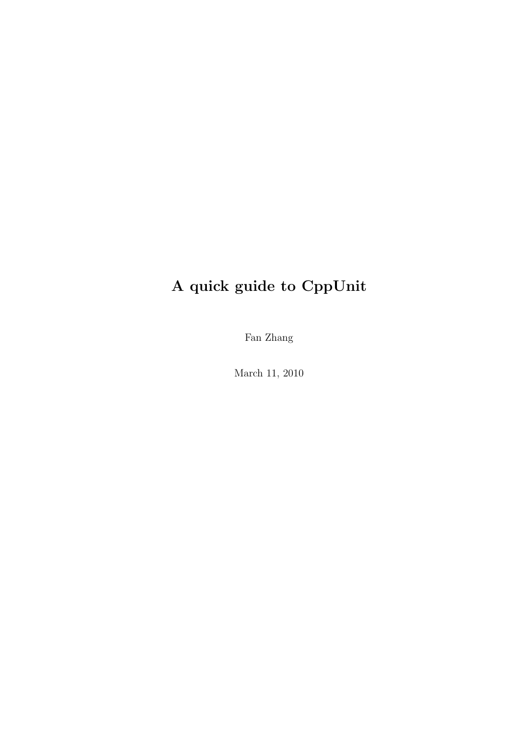## A quick guide to CppUnit

Fan Zhang

March 11, 2010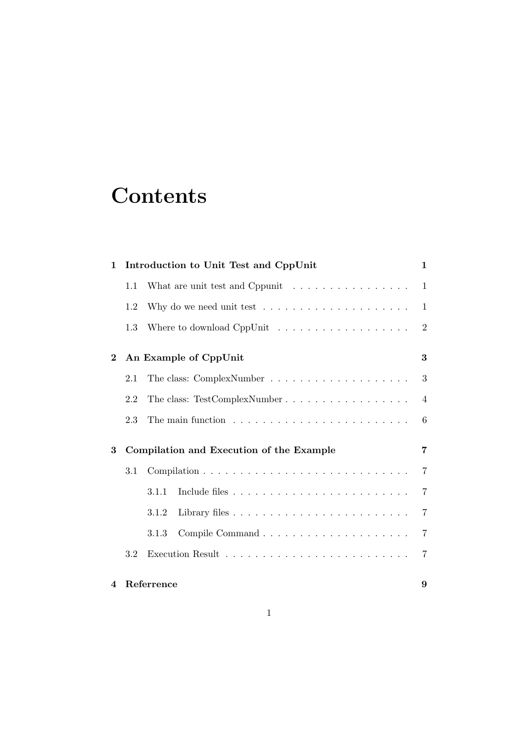# **Contents**

| 1              |     | Introduction to Unit Test and CppUnit                                | 1              |
|----------------|-----|----------------------------------------------------------------------|----------------|
|                | 1.1 | What are unit test and Cppunit $\ldots \ldots \ldots \ldots \ldots$  | $\mathbf{1}$   |
|                | 1.2 | Why do we need unit test $\ldots \ldots \ldots \ldots \ldots \ldots$ | $\mathbf{1}$   |
|                | 1.3 |                                                                      | $\sqrt{2}$     |
| $\bf{2}$       |     | An Example of CppUnit                                                | 3              |
|                | 2.1 |                                                                      | 3              |
|                | 2.2 | The class: TestComplexNumber                                         | $\overline{4}$ |
|                | 2.3 |                                                                      | 6              |
| 3              |     | Compilation and Execution of the Example                             | 7              |
|                | 3.1 |                                                                      | $\overline{7}$ |
|                |     | 3.1.1                                                                | 7              |
|                |     | 3.1.2                                                                | 7              |
|                |     | 3.1.3                                                                | $\overline{7}$ |
|                | 3.2 |                                                                      | 7              |
| $\overline{4}$ |     | Referrence                                                           | 9              |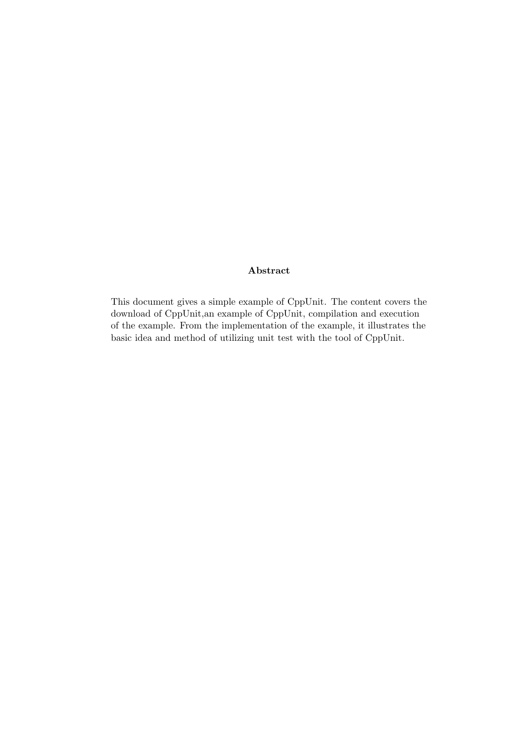#### Abstract

This document gives a simple example of CppUnit. The content covers the download of CppUnit,an example of CppUnit, compilation and execution of the example. From the implementation of the example, it illustrates the basic idea and method of utilizing unit test with the tool of CppUnit.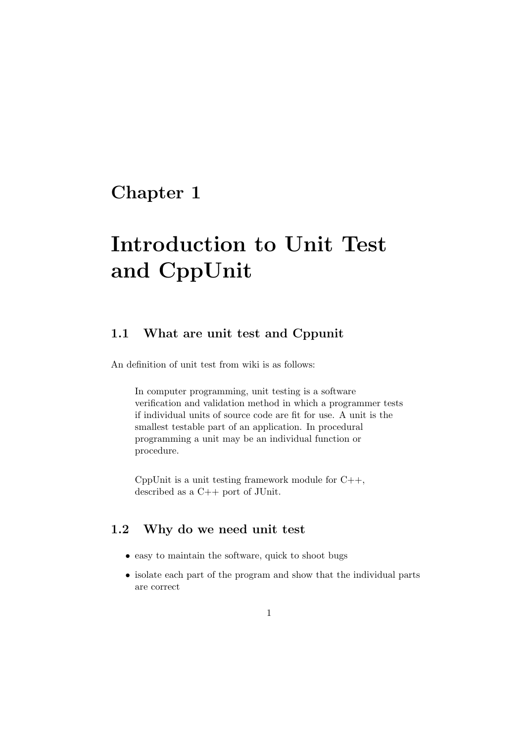# Introduction to Unit Test and CppUnit

#### 1.1 What are unit test and Cppunit

An definition of unit test from wiki is as follows:

In computer programming, unit testing is a software verification and validation method in which a programmer tests if individual units of source code are fit for use. A unit is the smallest testable part of an application. In procedural programming a unit may be an individual function or procedure.

CppUnit is a unit testing framework module for  $C_{++}$ , described as a C++ port of JUnit.

#### 1.2 Why do we need unit test

- easy to maintain the software, quick to shoot bugs
- isolate each part of the program and show that the individual parts are correct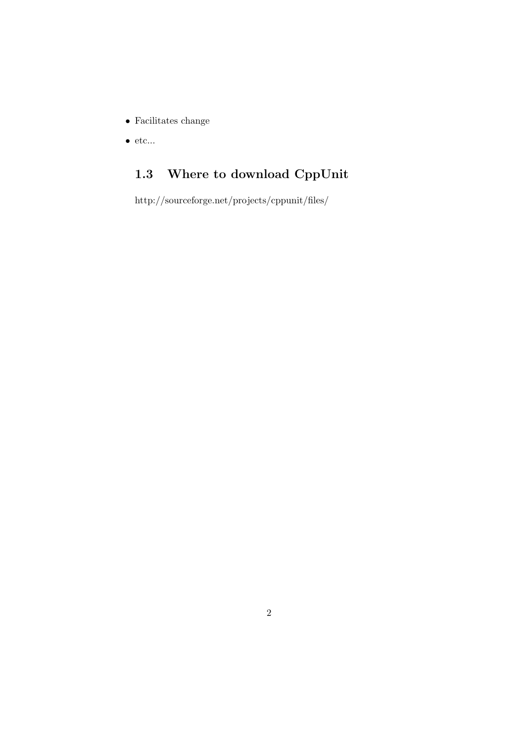- $\bullet\,$  Facilitates change
- $\bullet\,$ etc...

### 1.3 Where to download CppUnit

http://sourceforge.net/projects/cppunit/files/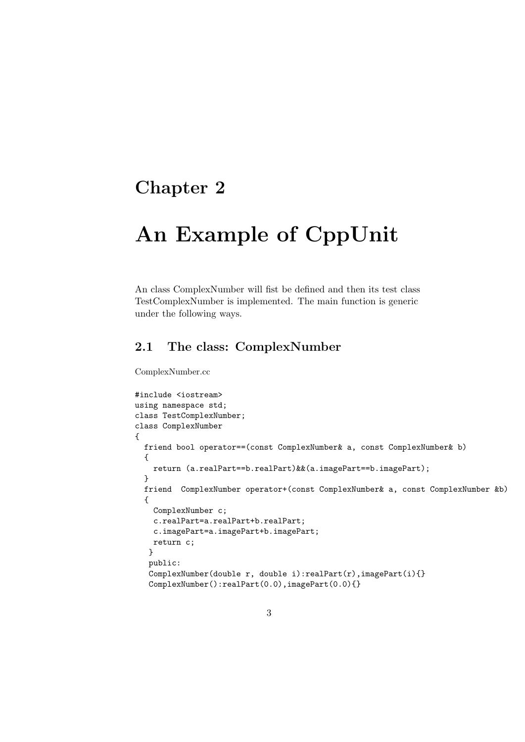## An Example of CppUnit

An class ComplexNumber will fist be defined and then its test class TestComplexNumber is implemented. The main function is generic under the following ways.

#### 2.1 The class: ComplexNumber

ComplexNumber.cc

```
#include <iostream>
using namespace std;
class TestComplexNumber;
class ComplexNumber
{
 friend bool operator==(const ComplexNumber& a, const ComplexNumber& b)
  {
   return (a.realPart==b.realPart)&&(a.imagePart==b.imagePart);
  }
  friend ComplexNumber operator+(const ComplexNumber& a, const ComplexNumber &b)
  {
   ComplexNumber c;
   c.realPart=a.realPart+b.realPart;
   c.imagePart=a.imagePart+b.imagePart;
   return c;
   }
   public:
   ComplexNumber(double r, double i):realPart(r), imagePart(i)}
   ComplexNumber():realPart(0.0),imagePart(0.0){}
```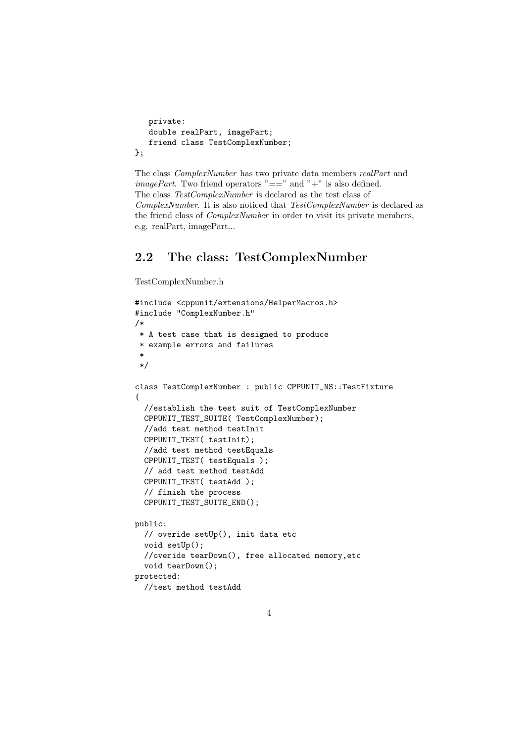```
private:
  double realPart, imagePart;
   friend class TestComplexNumber;
};
```
The class ComplexNumber has two private data members realPart and *imagePart.* Two friend operators " $==$ " and "+" is also defined. The class TestComplexNumber is declared as the test class of ComplexNumber. It is also noticed that TestComplexNumber is declared as the friend class of ComplexNumber in order to visit its private members, e.g. realPart, imagePart...

#### 2.2 The class: TestComplexNumber

TestComplexNumber.h

```
#include <cppunit/extensions/HelperMacros.h>
#include "ComplexNumber.h"
/*
 * A test case that is designed to produce
 * example errors and failures
 *
 */
class TestComplexNumber : public CPPUNIT_NS::TestFixture
{
  //establish the test suit of TestComplexNumber
  CPPUNIT_TEST_SUITE( TestComplexNumber);
  //add test method testInit
  CPPUNIT_TEST( testInit);
  //add test method testEquals
  CPPUNIT_TEST( testEquals );
  // add test method testAdd
  CPPUNIT_TEST( testAdd );
  // finish the process
  CPPUNIT_TEST_SUITE_END();
public:
  // overide setUp(), init data etc
  void setUp();
  //overide tearDown(), free allocated memory,etc
  void tearDown();
protected:
```
//test method testAdd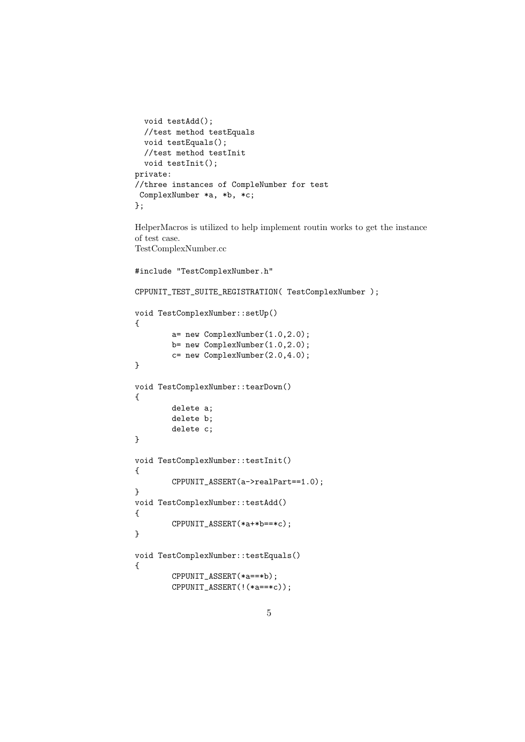```
void testAdd();
  //test method testEquals
 void testEquals();
  //test method testInit
 void testInit();
private:
//three instances of CompleNumber for test
ComplexNumber *a, *b, *c;
};
```
HelperMacros is utilized to help implement routin works to get the instance of test case. TestComplexNumber.cc

```
#include "TestComplexNumber.h"
```

```
CPPUNIT_TEST_SUITE_REGISTRATION( TestComplexNumber );
```

```
void TestComplexNumber::setUp()
{
        a= new ComplexNumber(1.0,2.0);
       b= new ComplexNumber(1.0,2.0);
        c= new ComplexNumber(2.0,4.0);
}
void TestComplexNumber::tearDown()
{
        delete a;
       delete b;
        delete c;
}
void TestComplexNumber::testInit()
{
        CPPUNIT_ASSERT(a->realPart==1.0);
}
void TestComplexNumber::testAdd()
{
        CPPUNIT_ASSERT(*a+*b==*c);
}
void TestComplexNumber::testEquals()
{
        CPPUNIT_ASSERT(*a==*b);
        CPPUNIT_ASSERT(!(*a==*c));
```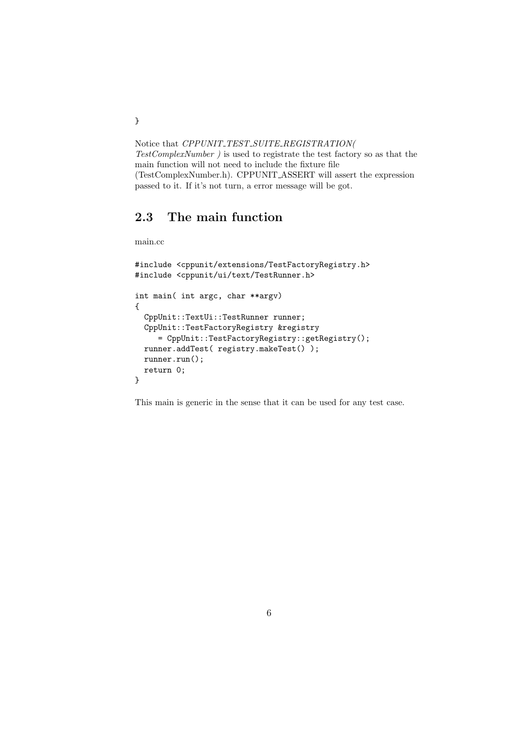Notice that CPPUNIT\_TEST\_SUITE\_REGISTRATION( TestComplexNumber ) is used to registrate the test factory so as that the main function will not need to include the fixture file (TestComplexNumber.h). CPPUNIT ASSERT will assert the expression passed to it. If it's not turn, a error message will be got.

#### 2.3 The main function

```
main.cc
```

```
#include <cppunit/extensions/TestFactoryRegistry.h>
#include <cppunit/ui/text/TestRunner.h>
int main( int argc, char **argv)
{
 CppUnit::TextUi::TestRunner runner;
 CppUnit::TestFactoryRegistry &registry
    = CppUnit::TestFactoryRegistry::getRegistry();
 runner.addTest( registry.makeTest() );
 runner.run();
  return 0;
}
```
This main is generic in the sense that it can be used for any test case.

}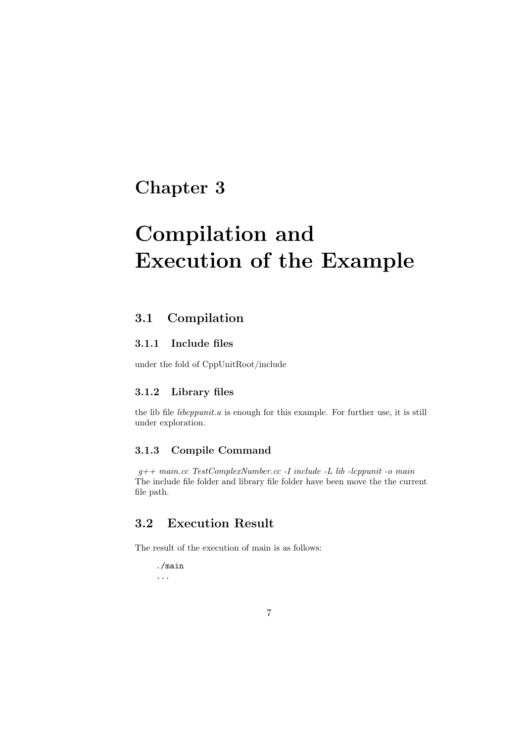# Compilation and Execution of the Example

#### 3.1 Compilation

#### 3.1.1 Include files

under the fold of CppUnitRoot/include

#### 3.1.2 Library files

the lib file *libcppunit.a* is enough for this example. For further use, it is still under exploration.

#### 3.1.3 Compile Command

 $q++ main.cc TestComplexNumber.cc -I include -L lib -lcppunit -o main$ The include file folder and library file folder have been move the the current file path.

#### 3.2 Execution Result

The result of the execution of main is as follows:

./main ...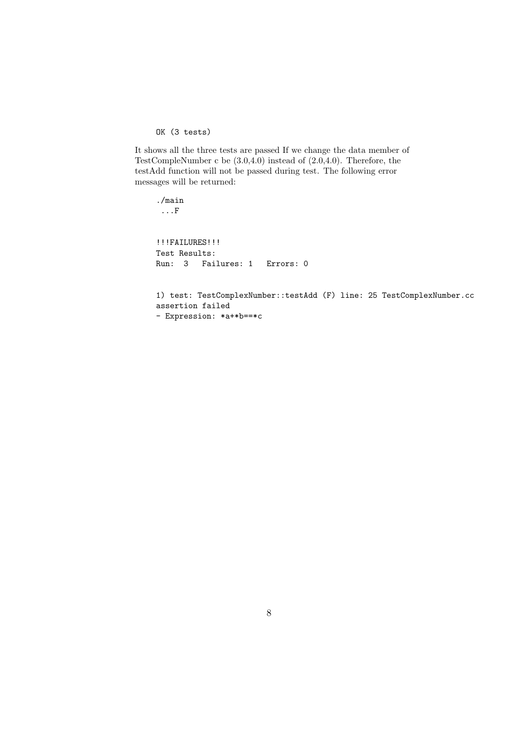OK (3 tests)

It shows all the three tests are passed If we change the data member of TestCompleNumber c be (3.0,4.0) instead of (2.0,4.0). Therefore, the testAdd function will not be passed during test. The following error messages will be returned:

./main ...F !!!FAILURES!!! Test Results: Run: 3 Failures: 1 Errors: 0

1) test: TestComplexNumber::testAdd (F) line: 25 TestComplexNumber.cc assertion failed - Expression: \*a+\*b==\*c